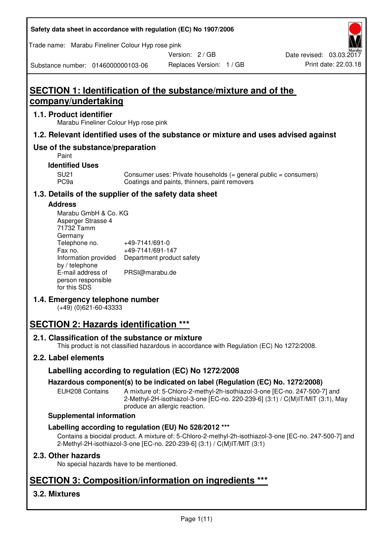| Safety data sheet in accordance with regulation (EC) No 1907/2006 |  |
|-------------------------------------------------------------------|--|
|-------------------------------------------------------------------|--|

Trade name: Marabu Fineliner Colour Hyp rose pink

Version: 2 / GB

Substance number: 0146000000103-06

# **SECTION 1: Identification of the substance/mixture and of the company/undertaking**

# **1.1. Product identifier**

Marabu Fineliner Colour Hyp rose pink

# **1.2. Relevant identified uses of the substance or mixture and uses advised against**

# **Use of the substance/preparation**

Paint

# **Identified Uses**

SU21 Consumer uses: Private households (= general public = consumers)<br>PC9a Coatings and paints, thinners, paint removers Coatings and paints, thinners, paint removers

# **1.3. Details of the supplier of the safety data sheet**

#### **Address**

| Marabu GmbH & Co. KG |                           |
|----------------------|---------------------------|
| Asperger Strasse 4   |                           |
| 71732 Tamm           |                           |
| Germany              |                           |
| Telephone no.        | +49-7141/691-0            |
| Fax no.              | +49-7141/691-147          |
| Information provided | Department product safety |
| by / telephone       |                           |
| E-mail address of    | PRSI@marabu.de            |
| person responsible   |                           |
| for this SDS         |                           |

# **1.4. Emergency telephone number**

(+49) (0)621-60-43333

# **SECTION 2: Hazards identification \*\*\***

# **2.1. Classification of the substance or mixture**

This product is not classified hazardous in accordance with Regulation (EC) No 1272/2008.

# **2.2. Label elements**

# **Labelling according to regulation (EC) No 1272/2008**

# **Hazardous component(s) to be indicated on label (Regulation (EC) No. 1272/2008)**

EUH208 Contains A mixture of: 5-Chloro-2-methyl-2h-isothiazol-3-one [EC-no. 247-500-7] and 2-Methyl-2H-isothiazol-3-one [EC-no. 220-239-6] (3:1) / C(M)IT/MIT (3:1), May produce an allergic reaction.

#### **Supplemental information**

# **Labelling according to regulation (EU) No 528/2012 \*\*\***

Contains a biocidal product. A mixture of: 5-Chloro-2-methyl-2h-isothiazol-3-one [EC-no. 247-500-7] and 2-Methyl-2H-isothiazol-3-one [EC-no. 220-239-6] (3:1) / C(M)IT/MIT (3:1)

# **2.3. Other hazards**

No special hazards have to be mentioned.

# **SECTION 3: Composition/information on ingredients \*\*\***

# **3.2. Mixtures**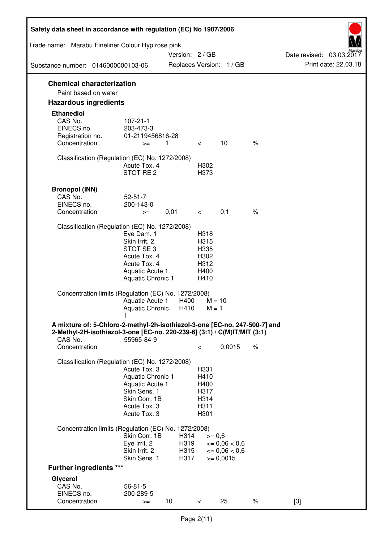| Safety data sheet in accordance with regulation (EC) No 1907/2006                                                                                                 |                                                                                                                       |                      |                                                      |                                              |      |                          |
|-------------------------------------------------------------------------------------------------------------------------------------------------------------------|-----------------------------------------------------------------------------------------------------------------------|----------------------|------------------------------------------------------|----------------------------------------------|------|--------------------------|
| Trade name: Marabu Fineliner Colour Hyp rose pink                                                                                                                 |                                                                                                                       | Version: 2 / GB      |                                                      |                                              |      | Date revised: 03.03.2017 |
| Substance number: 0146000000103-06                                                                                                                                |                                                                                                                       |                      |                                                      | Replaces Version: 1 / GB                     |      | Print date: 22.03.18     |
| <b>Chemical characterization</b><br>Paint based on water                                                                                                          |                                                                                                                       |                      |                                                      |                                              |      |                          |
| <b>Hazardous ingredients</b>                                                                                                                                      |                                                                                                                       |                      |                                                      |                                              |      |                          |
| <b>Ethanediol</b><br>CAS No.<br>EINECS no.<br>Registration no.<br>Concentration                                                                                   | $107 - 21 - 1$<br>203-473-3<br>01-2119456816-28<br>$>=$                                                               | $\overline{1}$       | $\lt$                                                | 10                                           | $\%$ |                          |
| Classification (Regulation (EC) No. 1272/2008)                                                                                                                    | Acute Tox, 4<br>STOT RE <sub>2</sub>                                                                                  |                      | H302<br>H373                                         |                                              |      |                          |
| <b>Bronopol (INN)</b><br>CAS No.<br>EINECS no.<br>Concentration                                                                                                   | $52 - 51 - 7$<br>200-143-0<br>$>=$                                                                                    | 0,01                 | $\overline{\phantom{0}}$                             | 0,1                                          | $\%$ |                          |
| Classification (Regulation (EC) No. 1272/2008)                                                                                                                    | Eye Dam. 1<br>Skin Irrit. 2<br>STOT SE3<br>Acute Tox. 4<br>Acute Tox. 4<br>Aquatic Acute 1<br>Aquatic Chronic 1       |                      | H318<br>H315<br>H335<br>H302<br>H312<br>H400<br>H410 |                                              |      |                          |
| Concentration limits (Regulation (EC) No. 1272/2008)                                                                                                              | Aquatic Acute 1<br>Aquatic Chronic                                                                                    | H400<br>H410         | $M = 10$<br>$M = 1$                                  |                                              |      |                          |
| A mixture of: 5-Chloro-2-methyl-2h-isothiazol-3-one [EC-no. 247-500-7] and<br>2-Methyl-2H-isothiazol-3-one [EC-no. 220-239-6] (3:1) / C(M)IT/MIT (3:1)<br>CAS No. | 55965-84-9                                                                                                            |                      |                                                      |                                              |      |                          |
| Concentration                                                                                                                                                     |                                                                                                                       |                      | $\,<\,$                                              | 0,0015                                       | $\%$ |                          |
| Classification (Regulation (EC) No. 1272/2008)                                                                                                                    | Acute Tox. 3<br>Aquatic Chronic 1<br>Aquatic Acute 1<br>Skin Sens. 1<br>Skin Corr. 1B<br>Acute Tox. 3<br>Acute Tox. 3 |                      | H331<br>H410<br>H400<br>H317<br>H314<br>H311<br>H301 |                                              |      |                          |
| Concentration limits (Regulation (EC) No. 1272/2008)                                                                                                              | Skin Corr. 1B<br>Eye Irrit. 2<br>Skin Irrit. 2                                                                        | H314<br>H319<br>H315 | $>= 0,6$                                             | $\epsilon = 0.06 < 0.6$<br>$\leq 0.06 < 0.6$ |      |                          |
| <b>Further ingredients ***</b>                                                                                                                                    | Skin Sens. 1                                                                                                          | H317                 |                                                      | $>= 0,0015$                                  |      |                          |
| Glycerol                                                                                                                                                          |                                                                                                                       |                      |                                                      |                                              |      |                          |
| CAS No.<br>EINECS no.<br>Concentration                                                                                                                            | $56 - 81 - 5$<br>200-289-5<br>$>=$                                                                                    | 10                   | $\lt$                                                | 25                                           | $\%$ | $[3]$                    |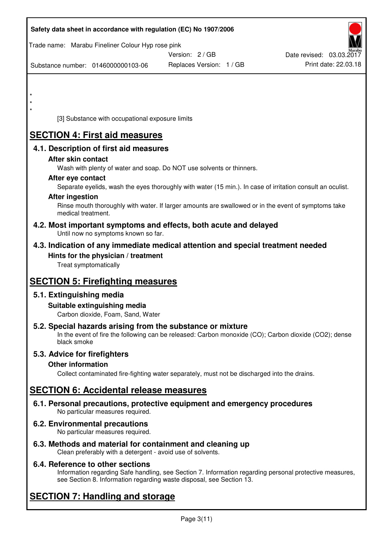|         | Safety data sheet in accordance with regulation (EC) No 1907/2006                                            |                                                                                                            |                          |
|---------|--------------------------------------------------------------------------------------------------------------|------------------------------------------------------------------------------------------------------------|--------------------------|
|         | Trade name: Marabu Fineliner Colour Hyp rose pink                                                            | Version: 2 / GB                                                                                            | Date revised: 03.03.2017 |
|         | Substance number: 0146000000103-06                                                                           | Replaces Version: 1 / GB                                                                                   | Print date: 22.03.18     |
|         |                                                                                                              |                                                                                                            |                          |
| $\star$ |                                                                                                              |                                                                                                            |                          |
|         |                                                                                                              |                                                                                                            |                          |
|         | [3] Substance with occupational exposure limits                                                              |                                                                                                            |                          |
|         | <b>SECTION 4: First aid measures</b>                                                                         |                                                                                                            |                          |
|         | 4.1. Description of first aid measures                                                                       |                                                                                                            |                          |
|         | After skin contact                                                                                           |                                                                                                            |                          |
|         | Wash with plenty of water and soap. Do NOT use solvents or thinners.<br>After eye contact                    |                                                                                                            |                          |
|         |                                                                                                              | Separate eyelids, wash the eyes thoroughly with water (15 min.). In case of irritation consult an oculist. |                          |
|         | <b>After ingestion</b>                                                                                       |                                                                                                            |                          |
|         | medical treatment.                                                                                           | Rinse mouth thoroughly with water. If larger amounts are swallowed or in the event of symptoms take        |                          |
|         | 4.2. Most important symptoms and effects, both acute and delayed<br>Until now no symptoms known so far.      |                                                                                                            |                          |
|         | 4.3. Indication of any immediate medical attention and special treatment needed                              |                                                                                                            |                          |
|         | Hints for the physician / treatment<br>Treat symptomatically                                                 |                                                                                                            |                          |
|         |                                                                                                              |                                                                                                            |                          |
|         | <b>SECTION 5: Firefighting measures</b>                                                                      |                                                                                                            |                          |
|         | 5.1. Extinguishing media                                                                                     |                                                                                                            |                          |
|         | Suitable extinguishing media<br>Carbon dioxide, Foam, Sand, Water                                            |                                                                                                            |                          |
|         | 5.2. Special hazards arising from the substance or mixture<br>black smoke                                    | In the event of fire the following can be released: Carbon monoxide (CO); Carbon dioxide (CO2); dense      |                          |
|         | 5.3. Advice for firefighters                                                                                 |                                                                                                            |                          |
|         | <b>Other information</b>                                                                                     |                                                                                                            |                          |
|         |                                                                                                              | Collect contaminated fire-fighting water separately, must not be discharged into the drains.               |                          |
|         | <b>SECTION 6: Accidental release measures</b>                                                                |                                                                                                            |                          |
|         | 6.1. Personal precautions, protective equipment and emergency procedures<br>No particular measures required. |                                                                                                            |                          |
|         | 6.2. Environmental precautions<br>No particular measures required.                                           |                                                                                                            |                          |
|         | 6.3. Methods and material for containment and cleaning up                                                    |                                                                                                            |                          |

Clean preferably with a detergent - avoid use of solvents.

# **6.4. Reference to other sections**

Information regarding Safe handling, see Section 7. Information regarding personal protective measures, see Section 8. Information regarding waste disposal, see Section 13.

# **SECTION 7: Handling and storage**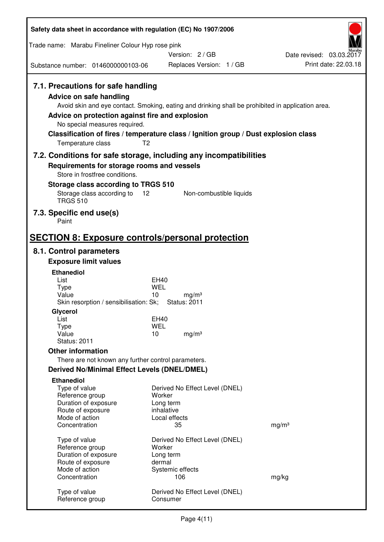| Safety data sheet in accordance with regulation (EC) No 1907/2006                                                                                                                                                                                                                                                                                                  |                                                                     |                          |                                                  |
|--------------------------------------------------------------------------------------------------------------------------------------------------------------------------------------------------------------------------------------------------------------------------------------------------------------------------------------------------------------------|---------------------------------------------------------------------|--------------------------|--------------------------------------------------|
| Trade name: Marabu Fineliner Colour Hyp rose pink                                                                                                                                                                                                                                                                                                                  |                                                                     |                          |                                                  |
| Substance number: 0146000000103-06                                                                                                                                                                                                                                                                                                                                 | Version: 2/GB                                                       | Replaces Version: 1 / GB | Date revised: 03.03.2017<br>Print date: 22.03.18 |
|                                                                                                                                                                                                                                                                                                                                                                    |                                                                     |                          |                                                  |
| 7.1. Precautions for safe handling<br>Advice on safe handling<br>Avoid skin and eye contact. Smoking, eating and drinking shall be prohibited in application area.<br>Advice on protection against fire and explosion<br>No special measures required.<br>Classification of fires / temperature class / Ignition group / Dust explosion class<br>Temperature class | T <sub>2</sub>                                                      |                          |                                                  |
| 7.2. Conditions for safe storage, including any incompatibilities<br>Requirements for storage rooms and vessels                                                                                                                                                                                                                                                    |                                                                     |                          |                                                  |
| Store in frostfree conditions.                                                                                                                                                                                                                                                                                                                                     |                                                                     |                          |                                                  |
| Storage class according to TRGS 510                                                                                                                                                                                                                                                                                                                                |                                                                     |                          |                                                  |
| Storage class according to<br><b>TRGS 510</b>                                                                                                                                                                                                                                                                                                                      | 12                                                                  | Non-combustible liquids  |                                                  |
| 7.3. Specific end use(s)<br>Paint                                                                                                                                                                                                                                                                                                                                  |                                                                     |                          |                                                  |
| <b>SECTION 8: Exposure controls/personal protection</b>                                                                                                                                                                                                                                                                                                            |                                                                     |                          |                                                  |
| 8.1. Control parameters                                                                                                                                                                                                                                                                                                                                            |                                                                     |                          |                                                  |
| <b>Exposure limit values</b>                                                                                                                                                                                                                                                                                                                                       |                                                                     |                          |                                                  |
| <b>Ethanediol</b>                                                                                                                                                                                                                                                                                                                                                  |                                                                     |                          |                                                  |
| List<br><b>Type</b>                                                                                                                                                                                                                                                                                                                                                | EH40<br>WEL                                                         |                          |                                                  |
| Value<br>Skin resorption / sensibilisation: Sk;                                                                                                                                                                                                                                                                                                                    | 10<br>mg/m <sup>3</sup><br><b>Status: 2011</b>                      |                          |                                                  |
| Glycerol                                                                                                                                                                                                                                                                                                                                                           |                                                                     |                          |                                                  |
| List                                                                                                                                                                                                                                                                                                                                                               | EH40                                                                |                          |                                                  |
| Type<br>Value                                                                                                                                                                                                                                                                                                                                                      | <b>WEL</b><br>10<br>mg/m <sup>3</sup>                               |                          |                                                  |
| <b>Status: 2011</b>                                                                                                                                                                                                                                                                                                                                                |                                                                     |                          |                                                  |
| <b>Other information</b>                                                                                                                                                                                                                                                                                                                                           |                                                                     |                          |                                                  |
| There are not known any further control parameters.                                                                                                                                                                                                                                                                                                                |                                                                     |                          |                                                  |
| Derived No/Minimal Effect Levels (DNEL/DMEL)                                                                                                                                                                                                                                                                                                                       |                                                                     |                          |                                                  |
| <b>Ethanediol</b><br>Type of value<br>Reference group<br>Duration of exposure<br>Route of exposure                                                                                                                                                                                                                                                                 | Derived No Effect Level (DNEL)<br>Worker<br>Long term<br>inhalative |                          |                                                  |
| Mode of action<br>Concentration                                                                                                                                                                                                                                                                                                                                    | Local effects<br>35                                                 |                          | mg/m <sup>3</sup>                                |
| Type of value<br>Reference group<br>Duration of exposure<br>Route of exposure                                                                                                                                                                                                                                                                                      | Derived No Effect Level (DNEL)<br>Worker<br>Long term<br>dermal     |                          |                                                  |
| Mode of action<br>Concentration                                                                                                                                                                                                                                                                                                                                    | Systemic effects<br>106                                             |                          | mg/kg                                            |
| Type of value<br>Reference group                                                                                                                                                                                                                                                                                                                                   | Derived No Effect Level (DNEL)<br>Consumer                          |                          |                                                  |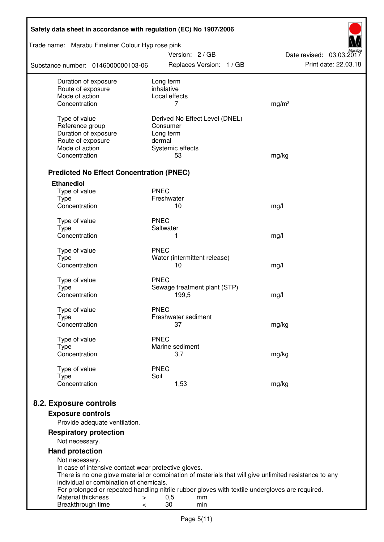| Safety data sheet in accordance with regulation (EC) No 1907/2006                                                                  |                                |                                                                                                       |  |  |
|------------------------------------------------------------------------------------------------------------------------------------|--------------------------------|-------------------------------------------------------------------------------------------------------|--|--|
| Trade name: Marabu Fineliner Colour Hyp rose pink                                                                                  | Version: 2 / GB                | Date revised: 03.03.2017                                                                              |  |  |
| Substance number: 0146000000103-06                                                                                                 | Replaces Version: 1 / GB       | Print date: 22.03.18                                                                                  |  |  |
| Duration of exposure                                                                                                               | Long term                      |                                                                                                       |  |  |
| Route of exposure<br>Mode of action                                                                                                | inhalative<br>Local effects    |                                                                                                       |  |  |
| Concentration                                                                                                                      | 7                              | mg/m <sup>3</sup>                                                                                     |  |  |
|                                                                                                                                    |                                |                                                                                                       |  |  |
| Type of value                                                                                                                      | Derived No Effect Level (DNEL) |                                                                                                       |  |  |
| Reference group<br>Duration of exposure                                                                                            | Consumer<br>Long term          |                                                                                                       |  |  |
| Route of exposure                                                                                                                  | dermal                         |                                                                                                       |  |  |
| Mode of action                                                                                                                     | Systemic effects               |                                                                                                       |  |  |
| Concentration                                                                                                                      | 53                             | mg/kg                                                                                                 |  |  |
| <b>Predicted No Effect Concentration (PNEC)</b>                                                                                    |                                |                                                                                                       |  |  |
| <b>Ethanediol</b>                                                                                                                  |                                |                                                                                                       |  |  |
| Type of value                                                                                                                      | <b>PNEC</b>                    |                                                                                                       |  |  |
| <b>Type</b>                                                                                                                        | Freshwater                     |                                                                                                       |  |  |
| Concentration                                                                                                                      | 10                             | mg/l                                                                                                  |  |  |
| Type of value                                                                                                                      | <b>PNEC</b>                    |                                                                                                       |  |  |
| <b>Type</b>                                                                                                                        | Saltwater                      |                                                                                                       |  |  |
| Concentration                                                                                                                      | 1                              | mg/l                                                                                                  |  |  |
| Type of value                                                                                                                      | <b>PNEC</b>                    |                                                                                                       |  |  |
| <b>Type</b>                                                                                                                        | Water (intermittent release)   |                                                                                                       |  |  |
| Concentration                                                                                                                      | 10                             | mg/l                                                                                                  |  |  |
| Type of value                                                                                                                      | <b>PNEC</b>                    |                                                                                                       |  |  |
| <b>Type</b>                                                                                                                        | Sewage treatment plant (STP)   |                                                                                                       |  |  |
| Concentration                                                                                                                      | 199,5                          | mg/l                                                                                                  |  |  |
| Type of value                                                                                                                      | <b>PNEC</b>                    |                                                                                                       |  |  |
| Type                                                                                                                               | Freshwater sediment            |                                                                                                       |  |  |
| Concentration                                                                                                                      | 37                             | mg/kg                                                                                                 |  |  |
| Type of value                                                                                                                      | <b>PNEC</b>                    |                                                                                                       |  |  |
| <b>Type</b>                                                                                                                        | Marine sediment                |                                                                                                       |  |  |
| Concentration                                                                                                                      | 3,7                            | mg/kg                                                                                                 |  |  |
| Type of value                                                                                                                      | <b>PNEC</b>                    |                                                                                                       |  |  |
| <b>Type</b>                                                                                                                        | Soil                           |                                                                                                       |  |  |
| Concentration                                                                                                                      | 1,53                           | mg/kg                                                                                                 |  |  |
| 8.2. Exposure controls                                                                                                             |                                |                                                                                                       |  |  |
| <b>Exposure controls</b>                                                                                                           |                                |                                                                                                       |  |  |
| Provide adequate ventilation.                                                                                                      |                                |                                                                                                       |  |  |
| <b>Respiratory protection</b>                                                                                                      |                                |                                                                                                       |  |  |
| Not necessary.                                                                                                                     |                                |                                                                                                       |  |  |
| <b>Hand protection</b>                                                                                                             |                                |                                                                                                       |  |  |
| Not necessary.<br>In case of intensive contact wear protective gloves.                                                             |                                |                                                                                                       |  |  |
|                                                                                                                                    |                                | There is no one glove material or combination of materials that will give unlimited resistance to any |  |  |
| individual or combination of chemicals.                                                                                            |                                |                                                                                                       |  |  |
| For prolonged or repeated handling nitrile rubber gloves with textile undergloves are required.<br>Material thickness<br>$\, > \,$ | 0,5<br>mm                      |                                                                                                       |  |  |
| Breakthrough time<br><                                                                                                             | 30<br>min                      |                                                                                                       |  |  |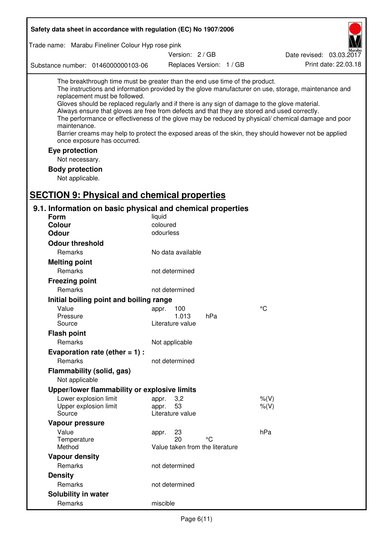| Safety data sheet in accordance with regulation (EC) No 1907/2006                                                                                                                                                                                                                                                                                            |                                 |                          |                                                                                                                                                                                                                                                                                                                    |
|--------------------------------------------------------------------------------------------------------------------------------------------------------------------------------------------------------------------------------------------------------------------------------------------------------------------------------------------------------------|---------------------------------|--------------------------|--------------------------------------------------------------------------------------------------------------------------------------------------------------------------------------------------------------------------------------------------------------------------------------------------------------------|
| Trade name: Marabu Fineliner Colour Hyp rose pink                                                                                                                                                                                                                                                                                                            |                                 |                          |                                                                                                                                                                                                                                                                                                                    |
|                                                                                                                                                                                                                                                                                                                                                              | Version: 2/GB                   |                          | Date revised: 03.03.2017                                                                                                                                                                                                                                                                                           |
| Substance number: 0146000000103-06                                                                                                                                                                                                                                                                                                                           |                                 | Replaces Version: 1 / GB | Print date: 22.03.18                                                                                                                                                                                                                                                                                               |
| The breakthrough time must be greater than the end use time of the product.<br>replacement must be followed.<br>Gloves should be replaced regularly and if there is any sign of damage to the glove material.<br>Always ensure that gloves are free from defects and that they are stored and used correctly.<br>maintenance.<br>once exposure has occurred. |                                 |                          | The instructions and information provided by the glove manufacturer on use, storage, maintenance and<br>The performance or effectiveness of the glove may be reduced by physical/ chemical damage and poor<br>Barrier creams may help to protect the exposed areas of the skin, they should however not be applied |
| Eye protection                                                                                                                                                                                                                                                                                                                                               |                                 |                          |                                                                                                                                                                                                                                                                                                                    |
| Not necessary.                                                                                                                                                                                                                                                                                                                                               |                                 |                          |                                                                                                                                                                                                                                                                                                                    |
| <b>Body protection</b><br>Not applicable.                                                                                                                                                                                                                                                                                                                    |                                 |                          |                                                                                                                                                                                                                                                                                                                    |
| <b>SECTION 9: Physical and chemical properties</b>                                                                                                                                                                                                                                                                                                           |                                 |                          |                                                                                                                                                                                                                                                                                                                    |
| 9.1. Information on basic physical and chemical properties                                                                                                                                                                                                                                                                                                   |                                 |                          |                                                                                                                                                                                                                                                                                                                    |
| Form                                                                                                                                                                                                                                                                                                                                                         | liquid                          |                          |                                                                                                                                                                                                                                                                                                                    |
| <b>Colour</b>                                                                                                                                                                                                                                                                                                                                                | coloured                        |                          |                                                                                                                                                                                                                                                                                                                    |
| <b>Odour</b>                                                                                                                                                                                                                                                                                                                                                 | odourless                       |                          |                                                                                                                                                                                                                                                                                                                    |
| <b>Odour threshold</b>                                                                                                                                                                                                                                                                                                                                       |                                 |                          |                                                                                                                                                                                                                                                                                                                    |
| Remarks                                                                                                                                                                                                                                                                                                                                                      | No data available               |                          |                                                                                                                                                                                                                                                                                                                    |
| <b>Melting point</b>                                                                                                                                                                                                                                                                                                                                         |                                 |                          |                                                                                                                                                                                                                                                                                                                    |
| Remarks                                                                                                                                                                                                                                                                                                                                                      | not determined                  |                          |                                                                                                                                                                                                                                                                                                                    |
| <b>Freezing point</b>                                                                                                                                                                                                                                                                                                                                        |                                 |                          |                                                                                                                                                                                                                                                                                                                    |
| Remarks                                                                                                                                                                                                                                                                                                                                                      | not determined                  |                          |                                                                                                                                                                                                                                                                                                                    |
| Initial boiling point and boiling range                                                                                                                                                                                                                                                                                                                      |                                 |                          |                                                                                                                                                                                                                                                                                                                    |
| Value                                                                                                                                                                                                                                                                                                                                                        | appr. 100                       |                          | $^{\circ}C$                                                                                                                                                                                                                                                                                                        |
| Pressure                                                                                                                                                                                                                                                                                                                                                     | 1.013<br>Literature value       | hPa                      |                                                                                                                                                                                                                                                                                                                    |
| Source                                                                                                                                                                                                                                                                                                                                                       |                                 |                          |                                                                                                                                                                                                                                                                                                                    |
| <b>Flash point</b><br>Remarks                                                                                                                                                                                                                                                                                                                                |                                 |                          |                                                                                                                                                                                                                                                                                                                    |
|                                                                                                                                                                                                                                                                                                                                                              | Not applicable                  |                          |                                                                                                                                                                                                                                                                                                                    |
| Evaporation rate (ether $= 1$ ) :<br>Remarks                                                                                                                                                                                                                                                                                                                 |                                 |                          |                                                                                                                                                                                                                                                                                                                    |
|                                                                                                                                                                                                                                                                                                                                                              | not determined                  |                          |                                                                                                                                                                                                                                                                                                                    |
| Flammability (solid, gas)                                                                                                                                                                                                                                                                                                                                    |                                 |                          |                                                                                                                                                                                                                                                                                                                    |
| Not applicable                                                                                                                                                                                                                                                                                                                                               |                                 |                          |                                                                                                                                                                                                                                                                                                                    |
| Upper/lower flammability or explosive limits                                                                                                                                                                                                                                                                                                                 |                                 |                          |                                                                                                                                                                                                                                                                                                                    |
| Lower explosion limit<br>Upper explosion limit                                                                                                                                                                                                                                                                                                               | 3,2<br>appr.<br>53<br>appr.     |                          | $%$ (V)<br>$%$ (V)                                                                                                                                                                                                                                                                                                 |
| Source                                                                                                                                                                                                                                                                                                                                                       | Literature value                |                          |                                                                                                                                                                                                                                                                                                                    |
| Vapour pressure                                                                                                                                                                                                                                                                                                                                              |                                 |                          |                                                                                                                                                                                                                                                                                                                    |
| Value                                                                                                                                                                                                                                                                                                                                                        | 23<br>appr.                     |                          | hPa                                                                                                                                                                                                                                                                                                                |
| Temperature                                                                                                                                                                                                                                                                                                                                                  | 20                              | °C                       |                                                                                                                                                                                                                                                                                                                    |
| Method                                                                                                                                                                                                                                                                                                                                                       | Value taken from the literature |                          |                                                                                                                                                                                                                                                                                                                    |
| <b>Vapour density</b>                                                                                                                                                                                                                                                                                                                                        |                                 |                          |                                                                                                                                                                                                                                                                                                                    |
| Remarks                                                                                                                                                                                                                                                                                                                                                      | not determined                  |                          |                                                                                                                                                                                                                                                                                                                    |
| <b>Density</b>                                                                                                                                                                                                                                                                                                                                               |                                 |                          |                                                                                                                                                                                                                                                                                                                    |
| Remarks                                                                                                                                                                                                                                                                                                                                                      | not determined                  |                          |                                                                                                                                                                                                                                                                                                                    |
| Solubility in water                                                                                                                                                                                                                                                                                                                                          |                                 |                          |                                                                                                                                                                                                                                                                                                                    |
| Remarks                                                                                                                                                                                                                                                                                                                                                      | miscible                        |                          |                                                                                                                                                                                                                                                                                                                    |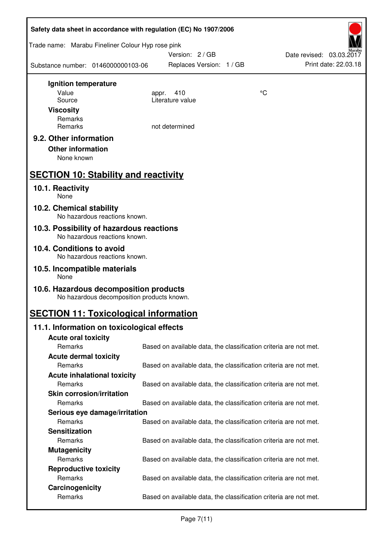| Safety data sheet in accordance with regulation (EC) No 1907/2006                    |                                                                   |    |                          |  |  |
|--------------------------------------------------------------------------------------|-------------------------------------------------------------------|----|--------------------------|--|--|
| Trade name: Marabu Fineliner Colour Hyp rose pink                                    | Version: 2/GB                                                     |    | Date revised: 03.03.2017 |  |  |
| Substance number: 0146000000103-06                                                   | Replaces Version: 1 / GB                                          |    | Print date: 22.03.18     |  |  |
| Ignition temperature                                                                 |                                                                   |    |                          |  |  |
| Value                                                                                | 410<br>appr.                                                      | °C |                          |  |  |
| Source                                                                               | Literature value                                                  |    |                          |  |  |
| <b>Viscosity</b>                                                                     |                                                                   |    |                          |  |  |
| Remarks<br>Remarks                                                                   | not determined                                                    |    |                          |  |  |
|                                                                                      |                                                                   |    |                          |  |  |
| 9.2. Other information                                                               |                                                                   |    |                          |  |  |
| <b>Other information</b>                                                             |                                                                   |    |                          |  |  |
| None known                                                                           |                                                                   |    |                          |  |  |
| <b>SECTION 10: Stability and reactivity</b>                                          |                                                                   |    |                          |  |  |
| 10.1. Reactivity<br>None                                                             |                                                                   |    |                          |  |  |
| 10.2. Chemical stability<br>No hazardous reactions known.                            |                                                                   |    |                          |  |  |
| 10.3. Possibility of hazardous reactions<br>No hazardous reactions known.            |                                                                   |    |                          |  |  |
| 10.4. Conditions to avoid                                                            |                                                                   |    |                          |  |  |
| No hazardous reactions known.<br>10.5. Incompatible materials                        |                                                                   |    |                          |  |  |
| None                                                                                 |                                                                   |    |                          |  |  |
| 10.6. Hazardous decomposition products<br>No hazardous decomposition products known. |                                                                   |    |                          |  |  |
| <b>SECTION 11: Toxicological information</b>                                         |                                                                   |    |                          |  |  |
| 11.1. Information on toxicological effects                                           |                                                                   |    |                          |  |  |
| <b>Acute oral toxicity</b>                                                           |                                                                   |    |                          |  |  |
| Remarks                                                                              | Based on available data, the classification criteria are not met. |    |                          |  |  |
| <b>Acute dermal toxicity</b>                                                         |                                                                   |    |                          |  |  |
| Remarks                                                                              | Based on available data, the classification criteria are not met. |    |                          |  |  |
| <b>Acute inhalational toxicity</b>                                                   |                                                                   |    |                          |  |  |
| Remarks                                                                              | Based on available data, the classification criteria are not met. |    |                          |  |  |
| <b>Skin corrosion/irritation</b>                                                     |                                                                   |    |                          |  |  |
| Remarks                                                                              | Based on available data, the classification criteria are not met. |    |                          |  |  |
| Serious eye damage/irritation                                                        |                                                                   |    |                          |  |  |
| Remarks                                                                              | Based on available data, the classification criteria are not met. |    |                          |  |  |
| <b>Sensitization</b>                                                                 |                                                                   |    |                          |  |  |
| Remarks                                                                              | Based on available data, the classification criteria are not met. |    |                          |  |  |
| <b>Mutagenicity</b>                                                                  |                                                                   |    |                          |  |  |
| Remarks                                                                              | Based on available data, the classification criteria are not met. |    |                          |  |  |
| <b>Reproductive toxicity</b><br>Remarks                                              | Based on available data, the classification criteria are not met. |    |                          |  |  |
| Carcinogenicity                                                                      |                                                                   |    |                          |  |  |
| Remarks                                                                              | Based on available data, the classification criteria are not met. |    |                          |  |  |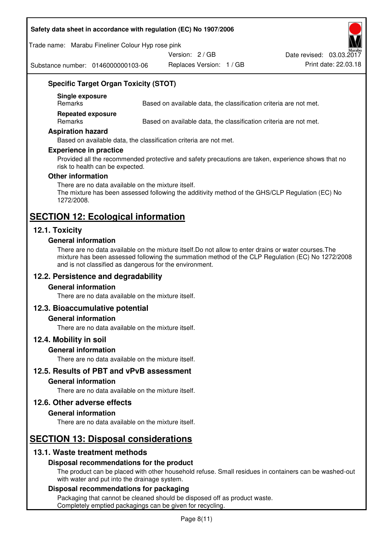#### **Safety data sheet in accordance with regulation (EC) No 1907/2006**

Trade name: Marabu Fineliner Colour Hyp rose pink

Version: 2 / GB

Substance number: 0146000000103-06

Replaces Version: 1 / GB Print date: 22.03.18 Date revised: 03.03.2017

# **Specific Target Organ Toxicity (STOT)**

**Single exposure** 

Based on available data, the classification criteria are not met.

**Repeated exposure** 

Remarks Based on available data, the classification criteria are not met.

#### **Aspiration hazard**

Based on available data, the classification criteria are not met.

#### **Experience in practice**

Provided all the recommended protective and safety precautions are taken, experience shows that no risk to health can be expected.

#### **Other information**

There are no data available on the mixture itself. The mixture has been assessed following the additivity method of the GHS/CLP Regulation (EC) No 1272/2008.

# **SECTION 12: Ecological information**

# **12.1. Toxicity**

#### **General information**

There are no data available on the mixture itself.Do not allow to enter drains or water courses.The mixture has been assessed following the summation method of the CLP Regulation (EC) No 1272/2008 and is not classified as dangerous for the environment.

# **12.2. Persistence and degradability**

#### **General information**

There are no data available on the mixture itself.

# **12.3. Bioaccumulative potential**

#### **General information**

There are no data available on the mixture itself.

#### **12.4. Mobility in soil**

#### **General information**

There are no data available on the mixture itself.

**12.5. Results of PBT and vPvB assessment** 

#### **General information**

There are no data available on the mixture itself.

#### **12.6. Other adverse effects**

#### **General information**

There are no data available on the mixture itself.

# **SECTION 13: Disposal considerations**

# **13.1. Waste treatment methods**

# **Disposal recommendations for the product**

The product can be placed with other household refuse. Small residues in containers can be washed-out with water and put into the drainage system.

#### **Disposal recommendations for packaging**

Packaging that cannot be cleaned should be disposed off as product waste. Completely emptied packagings can be given for recycling.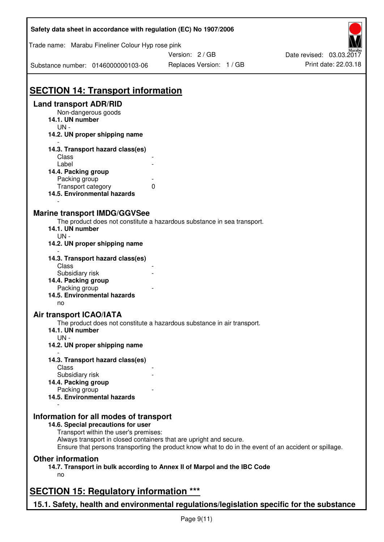| Safety data sheet in accordance with regulation (EC) No 1907/2006                         |                                                                                                                                                                             |                          |  |  |  |
|-------------------------------------------------------------------------------------------|-----------------------------------------------------------------------------------------------------------------------------------------------------------------------------|--------------------------|--|--|--|
| Trade name: Marabu Fineliner Colour Hyp rose pink                                         | Version: 2/GB                                                                                                                                                               | Date revised: 03.03.2017 |  |  |  |
| Substance number: 0146000000103-06                                                        | Replaces Version: 1 / GB                                                                                                                                                    | Print date: 22.03.18     |  |  |  |
| <b>SECTION 14: Transport information</b>                                                  |                                                                                                                                                                             |                          |  |  |  |
| <b>Land transport ADR/RID</b>                                                             |                                                                                                                                                                             |                          |  |  |  |
| Non-dangerous goods<br>14.1. UN number<br>$UN -$                                          |                                                                                                                                                                             |                          |  |  |  |
| 14.2. UN proper shipping name                                                             |                                                                                                                                                                             |                          |  |  |  |
| 14.3. Transport hazard class(es)                                                          |                                                                                                                                                                             |                          |  |  |  |
| Class<br>Label                                                                            |                                                                                                                                                                             |                          |  |  |  |
| 14.4. Packing group                                                                       |                                                                                                                                                                             |                          |  |  |  |
| Packing group                                                                             |                                                                                                                                                                             |                          |  |  |  |
| Transport category                                                                        | $\mathbf{0}$                                                                                                                                                                |                          |  |  |  |
| 14.5. Environmental hazards                                                               |                                                                                                                                                                             |                          |  |  |  |
| <b>Marine transport IMDG/GGVSee</b>                                                       |                                                                                                                                                                             |                          |  |  |  |
|                                                                                           | The product does not constitute a hazardous substance in sea transport.                                                                                                     |                          |  |  |  |
| 14.1. UN number<br>$UN -$                                                                 |                                                                                                                                                                             |                          |  |  |  |
| 14.2. UN proper shipping name                                                             |                                                                                                                                                                             |                          |  |  |  |
| 14.3. Transport hazard class(es)<br>Class                                                 |                                                                                                                                                                             |                          |  |  |  |
| Subsidiary risk                                                                           |                                                                                                                                                                             |                          |  |  |  |
| 14.4. Packing group                                                                       |                                                                                                                                                                             |                          |  |  |  |
| Packing group                                                                             |                                                                                                                                                                             |                          |  |  |  |
| 14.5. Environmental hazards<br>no                                                         |                                                                                                                                                                             |                          |  |  |  |
| <b>Air transport ICAO/IATA</b>                                                            |                                                                                                                                                                             |                          |  |  |  |
| 14.1. UN number                                                                           | The product does not constitute a hazardous substance in air transport.                                                                                                     |                          |  |  |  |
| UN-<br>14.2. UN proper shipping name                                                      |                                                                                                                                                                             |                          |  |  |  |
| 14.3. Transport hazard class(es)                                                          |                                                                                                                                                                             |                          |  |  |  |
| Class                                                                                     |                                                                                                                                                                             |                          |  |  |  |
| Subsidiary risk                                                                           |                                                                                                                                                                             |                          |  |  |  |
| 14.4. Packing group                                                                       |                                                                                                                                                                             |                          |  |  |  |
| Packing group<br>14.5. Environmental hazards                                              |                                                                                                                                                                             |                          |  |  |  |
|                                                                                           |                                                                                                                                                                             |                          |  |  |  |
| Information for all modes of transport<br>14.6. Special precautions for user              |                                                                                                                                                                             |                          |  |  |  |
| Transport within the user's premises:                                                     |                                                                                                                                                                             |                          |  |  |  |
|                                                                                           | Always transport in closed containers that are upright and secure.<br>Ensure that persons transporting the product know what to do in the event of an accident or spillage. |                          |  |  |  |
| <b>Other information</b>                                                                  |                                                                                                                                                                             |                          |  |  |  |
| no                                                                                        | 14.7. Transport in bulk according to Annex II of Marpol and the IBC Code                                                                                                    |                          |  |  |  |
| <b>SECTION 15: Regulatory information ***</b>                                             |                                                                                                                                                                             |                          |  |  |  |
|                                                                                           |                                                                                                                                                                             |                          |  |  |  |
| 15.1. Safety, health and environmental regulations/legislation specific for the substance |                                                                                                                                                                             |                          |  |  |  |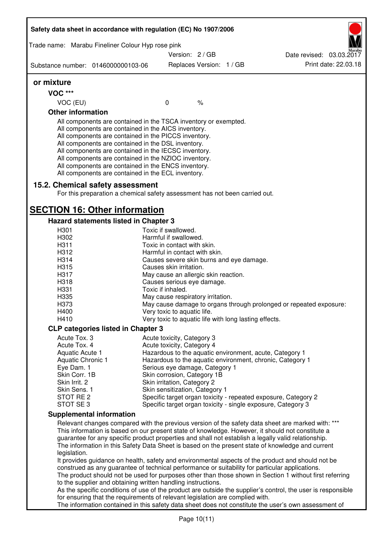| Trade name: Marabu Fineliner Colour Hyp rose pink |                                                                                                                                                                                                                                                                                                                                                                                                                                                                   |                                                                                                      |      |                                                                                                                                                                                                            |
|---------------------------------------------------|-------------------------------------------------------------------------------------------------------------------------------------------------------------------------------------------------------------------------------------------------------------------------------------------------------------------------------------------------------------------------------------------------------------------------------------------------------------------|------------------------------------------------------------------------------------------------------|------|------------------------------------------------------------------------------------------------------------------------------------------------------------------------------------------------------------|
|                                                   |                                                                                                                                                                                                                                                                                                                                                                                                                                                                   | Version: 2 / GB                                                                                      |      | Date revised: 03.03.2017                                                                                                                                                                                   |
| Substance number: 0146000000103-06                |                                                                                                                                                                                                                                                                                                                                                                                                                                                                   | Replaces Version: 1 / GB                                                                             |      | Print date: 22.03.18                                                                                                                                                                                       |
| or mixture                                        |                                                                                                                                                                                                                                                                                                                                                                                                                                                                   |                                                                                                      |      |                                                                                                                                                                                                            |
| <b>VOC ***</b>                                    |                                                                                                                                                                                                                                                                                                                                                                                                                                                                   |                                                                                                      |      |                                                                                                                                                                                                            |
| VOC (EU)                                          |                                                                                                                                                                                                                                                                                                                                                                                                                                                                   | $\mathbf 0$                                                                                          | $\%$ |                                                                                                                                                                                                            |
| <b>Other information</b>                          |                                                                                                                                                                                                                                                                                                                                                                                                                                                                   |                                                                                                      |      |                                                                                                                                                                                                            |
| 15.2. Chemical safety assessment                  | All components are contained in the TSCA inventory or exempted.<br>All components are contained in the AICS inventory.<br>All components are contained in the PICCS inventory.<br>All components are contained in the DSL inventory.<br>All components are contained in the IECSC inventory.<br>All components are contained in the NZIOC inventory.<br>All components are contained in the ENCS inventory.<br>All components are contained in the ECL inventory. |                                                                                                      |      |                                                                                                                                                                                                            |
|                                                   | For this preparation a chemical safety assessment has not been carried out.                                                                                                                                                                                                                                                                                                                                                                                       |                                                                                                      |      |                                                                                                                                                                                                            |
| <b>SECTION 16: Other information</b>              |                                                                                                                                                                                                                                                                                                                                                                                                                                                                   |                                                                                                      |      |                                                                                                                                                                                                            |
|                                                   | <b>Hazard statements listed in Chapter 3</b>                                                                                                                                                                                                                                                                                                                                                                                                                      |                                                                                                      |      |                                                                                                                                                                                                            |
| H301<br>H302                                      |                                                                                                                                                                                                                                                                                                                                                                                                                                                                   | Toxic if swallowed.<br>Harmful if swallowed.                                                         |      |                                                                                                                                                                                                            |
| H311                                              |                                                                                                                                                                                                                                                                                                                                                                                                                                                                   | Toxic in contact with skin.                                                                          |      |                                                                                                                                                                                                            |
| H312                                              |                                                                                                                                                                                                                                                                                                                                                                                                                                                                   | Harmful in contact with skin.                                                                        |      |                                                                                                                                                                                                            |
| H314                                              |                                                                                                                                                                                                                                                                                                                                                                                                                                                                   | Causes severe skin burns and eye damage.                                                             |      |                                                                                                                                                                                                            |
| H315                                              |                                                                                                                                                                                                                                                                                                                                                                                                                                                                   | Causes skin irritation.                                                                              |      |                                                                                                                                                                                                            |
| H317                                              |                                                                                                                                                                                                                                                                                                                                                                                                                                                                   | May cause an allergic skin reaction.                                                                 |      |                                                                                                                                                                                                            |
| H318                                              |                                                                                                                                                                                                                                                                                                                                                                                                                                                                   | Causes serious eye damage.                                                                           |      |                                                                                                                                                                                                            |
| H331                                              |                                                                                                                                                                                                                                                                                                                                                                                                                                                                   | Toxic if inhaled.                                                                                    |      |                                                                                                                                                                                                            |
| H335                                              |                                                                                                                                                                                                                                                                                                                                                                                                                                                                   | May cause respiratory irritation.                                                                    |      |                                                                                                                                                                                                            |
| H373                                              |                                                                                                                                                                                                                                                                                                                                                                                                                                                                   |                                                                                                      |      | May cause damage to organs through prolonged or repeated exposure:                                                                                                                                         |
| H400                                              |                                                                                                                                                                                                                                                                                                                                                                                                                                                                   | Very toxic to aquatic life.                                                                          |      |                                                                                                                                                                                                            |
| H410                                              |                                                                                                                                                                                                                                                                                                                                                                                                                                                                   | Very toxic to aquatic life with long lasting effects.                                                |      |                                                                                                                                                                                                            |
|                                                   | <b>CLP categories listed in Chapter 3</b>                                                                                                                                                                                                                                                                                                                                                                                                                         |                                                                                                      |      |                                                                                                                                                                                                            |
| Acute Tox. 3                                      |                                                                                                                                                                                                                                                                                                                                                                                                                                                                   | Acute toxicity, Category 3                                                                           |      |                                                                                                                                                                                                            |
| Acute Tox. 4                                      |                                                                                                                                                                                                                                                                                                                                                                                                                                                                   | Acute toxicity, Category 4                                                                           |      |                                                                                                                                                                                                            |
| Aquatic Acute 1                                   |                                                                                                                                                                                                                                                                                                                                                                                                                                                                   |                                                                                                      |      | Hazardous to the aquatic environment, acute, Category 1                                                                                                                                                    |
| Aquatic Chronic 1                                 |                                                                                                                                                                                                                                                                                                                                                                                                                                                                   |                                                                                                      |      | Hazardous to the aquatic environment, chronic, Category 1                                                                                                                                                  |
| Eye Dam. 1                                        |                                                                                                                                                                                                                                                                                                                                                                                                                                                                   | Serious eye damage, Category 1                                                                       |      |                                                                                                                                                                                                            |
| Skin Corr. 1B                                     |                                                                                                                                                                                                                                                                                                                                                                                                                                                                   | Skin corrosion, Category 1B                                                                          |      |                                                                                                                                                                                                            |
| Skin Irrit. 2                                     |                                                                                                                                                                                                                                                                                                                                                                                                                                                                   | Skin irritation, Category 2                                                                          |      |                                                                                                                                                                                                            |
| Skin Sens. 1<br>STOT RE 2                         |                                                                                                                                                                                                                                                                                                                                                                                                                                                                   | Skin sensitization, Category 1                                                                       |      |                                                                                                                                                                                                            |
| STOT SE3                                          |                                                                                                                                                                                                                                                                                                                                                                                                                                                                   |                                                                                                      |      | Specific target organ toxicity - repeated exposure, Category 2<br>Specific target organ toxicity - single exposure, Category 3                                                                             |
| <b>Supplemental information</b>                   |                                                                                                                                                                                                                                                                                                                                                                                                                                                                   |                                                                                                      |      |                                                                                                                                                                                                            |
|                                                   |                                                                                                                                                                                                                                                                                                                                                                                                                                                                   |                                                                                                      |      | Relevant changes compared with the previous version of the safety data sheet are marked with: ***                                                                                                          |
|                                                   |                                                                                                                                                                                                                                                                                                                                                                                                                                                                   |                                                                                                      |      | This information is based on our present state of knowledge. However, it should not constitute a                                                                                                           |
|                                                   |                                                                                                                                                                                                                                                                                                                                                                                                                                                                   |                                                                                                      |      | guarantee for any specific product properties and shall not establish a legally valid relationship.<br>The information in this Safety Data Sheet is based on the present state of knowledge and current    |
| legislation.                                      |                                                                                                                                                                                                                                                                                                                                                                                                                                                                   |                                                                                                      |      |                                                                                                                                                                                                            |
|                                                   |                                                                                                                                                                                                                                                                                                                                                                                                                                                                   |                                                                                                      |      | It provides guidance on health, safety and environmental aspects of the product and should not be                                                                                                          |
|                                                   |                                                                                                                                                                                                                                                                                                                                                                                                                                                                   |                                                                                                      |      | construed as any guarantee of technical performance or suitability for particular applications.<br>The product should not be used for purposes other than those shown in Section 1 without first referring |
|                                                   | to the supplier and obtaining written handling instructions.                                                                                                                                                                                                                                                                                                                                                                                                      |                                                                                                      |      |                                                                                                                                                                                                            |
|                                                   |                                                                                                                                                                                                                                                                                                                                                                                                                                                                   |                                                                                                      |      | As the specific conditions of use of the product are outside the supplier's control, the user is responsible                                                                                               |
|                                                   | for ensuring that the requirements of relevant legislation are complied with.                                                                                                                                                                                                                                                                                                                                                                                     |                                                                                                      |      |                                                                                                                                                                                                            |
|                                                   |                                                                                                                                                                                                                                                                                                                                                                                                                                                                   | The information contained in this safety data sheet does not constitute the user's own assessment of |      |                                                                                                                                                                                                            |